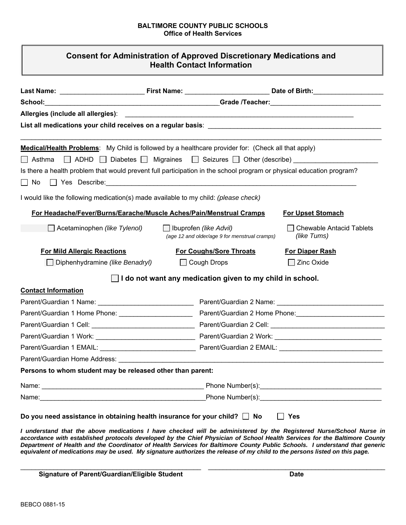## **BALTIMORE COUNTY PUBLIC SCHOOLS Office of Health Services**

| <b>Consent for Administration of Approved Discretionary Medications and</b> |  |
|-----------------------------------------------------------------------------|--|
| <b>Health Contact Information</b>                                           |  |

| Allergies (include all allergies):                                                                        |                                                                                                                                                                                                                                | <u> 1980 - Jan Stein Stein Stein Stein Stein Stein Stein Stein Stein Stein Stein Stein Stein Stein Stein Stein S</u> |                                                                                                                |                                                                                                                      |  |
|-----------------------------------------------------------------------------------------------------------|--------------------------------------------------------------------------------------------------------------------------------------------------------------------------------------------------------------------------------|----------------------------------------------------------------------------------------------------------------------|----------------------------------------------------------------------------------------------------------------|----------------------------------------------------------------------------------------------------------------------|--|
|                                                                                                           |                                                                                                                                                                                                                                |                                                                                                                      |                                                                                                                | List all medications your child receives on a regular basis: ____________________                                    |  |
|                                                                                                           |                                                                                                                                                                                                                                |                                                                                                                      |                                                                                                                |                                                                                                                      |  |
| <b>Medical/Health Problems:</b> My Child is followed by a healthcare provider for: (Check all that apply) |                                                                                                                                                                                                                                |                                                                                                                      |                                                                                                                |                                                                                                                      |  |
|                                                                                                           |                                                                                                                                                                                                                                |                                                                                                                      |                                                                                                                | $\Box$ Asthma $\Box$ ADHD $\Box$ Diabetes $\Box$ Migraines $\Box$ Seizures $\Box$ Other (describe)                   |  |
|                                                                                                           |                                                                                                                                                                                                                                |                                                                                                                      |                                                                                                                | Is there a health problem that would prevent full participation in the school program or physical education program? |  |
|                                                                                                           |                                                                                                                                                                                                                                |                                                                                                                      |                                                                                                                |                                                                                                                      |  |
| I would like the following medication(s) made available to my child: (please check)                       |                                                                                                                                                                                                                                |                                                                                                                      |                                                                                                                |                                                                                                                      |  |
| For Headache/Fever/Burns/Earache/Muscle Aches/Pain/Menstrual Cramps                                       |                                                                                                                                                                                                                                |                                                                                                                      |                                                                                                                | <b>For Upset Stomach</b>                                                                                             |  |
|                                                                                                           | Acetaminophen (like Tylenol)                                                                                                                                                                                                   | $\Box$ Ibuprofen (like Advil)                                                                                        | (age 12 and older/age 9 for menstrual cramps)                                                                  | <b>Chewable Antacid Tablets</b><br>(like Tums)                                                                       |  |
| <b>For Mild Allergic Reactions</b>                                                                        |                                                                                                                                                                                                                                | <b>For Coughs/Sore Throats</b>                                                                                       |                                                                                                                | <b>For Diaper Rash</b>                                                                                               |  |
|                                                                                                           | Diphenhydramine (like Benadryl)                                                                                                                                                                                                | □ Cough Drops                                                                                                        |                                                                                                                | <b>Zinc Oxide</b>                                                                                                    |  |
|                                                                                                           |                                                                                                                                                                                                                                | I do not want any medication given to my child in school.                                                            |                                                                                                                |                                                                                                                      |  |
| <b>Contact Information</b>                                                                                |                                                                                                                                                                                                                                |                                                                                                                      |                                                                                                                |                                                                                                                      |  |
|                                                                                                           |                                                                                                                                                                                                                                |                                                                                                                      |                                                                                                                |                                                                                                                      |  |
| Parent/Guardian 1 Home Phone: _____________________                                                       |                                                                                                                                                                                                                                |                                                                                                                      | Parent/Guardian 2 Home Phone: 2008. [19] Parent/Guardian 2 Home Phone:                                         |                                                                                                                      |  |
|                                                                                                           |                                                                                                                                                                                                                                |                                                                                                                      |                                                                                                                |                                                                                                                      |  |
|                                                                                                           |                                                                                                                                                                                                                                |                                                                                                                      | Parent/Guardian 1 Work: \\corresponding \\corresponding \\corresponding \\corresponding \\corresponding \\corr |                                                                                                                      |  |
|                                                                                                           |                                                                                                                                                                                                                                |                                                                                                                      |                                                                                                                |                                                                                                                      |  |
|                                                                                                           |                                                                                                                                                                                                                                |                                                                                                                      |                                                                                                                |                                                                                                                      |  |
| Persons to whom student may be released other than parent:                                                |                                                                                                                                                                                                                                |                                                                                                                      |                                                                                                                |                                                                                                                      |  |
|                                                                                                           |                                                                                                                                                                                                                                |                                                                                                                      |                                                                                                                |                                                                                                                      |  |
|                                                                                                           | Name: Name: All and the state of the state of the state of the state of the state of the state of the state of the state of the state of the state of the state of the state of the state of the state of the state of the sta |                                                                                                                      | Phone Number(s): National Assembly Phone Number(s):                                                            |                                                                                                                      |  |

*equivalent of medications may be used. My signature authorizes the release of my child to the persons listed on this page.* 

\_\_\_\_\_\_\_\_\_\_\_\_\_\_\_\_\_\_\_\_\_\_\_\_\_\_\_\_\_\_\_\_\_\_\_\_\_\_\_\_\_\_\_\_\_\_\_\_\_ \_\_\_\_\_\_\_\_\_\_\_\_\_\_\_\_\_\_\_\_\_\_\_\_\_\_\_\_\_\_\_\_\_\_\_\_\_\_\_\_\_\_\_\_\_\_\_\_

Signature of Parent/Guardian/Eligible Student **Date 19th Clubs** Date